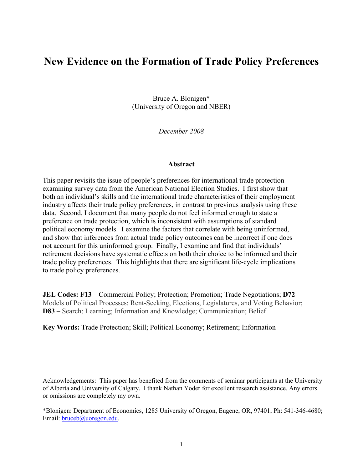# **New Evidence on the Formation of Trade Policy Preferences**

Bruce A. Blonigen\* (University of Oregon and NBER)

*December 2008* 

#### **Abstract**

This paper revisits the issue of people's preferences for international trade protection examining survey data from the American National Election Studies. I first show that both an individual's skills and the international trade characteristics of their employment industry affects their trade policy preferences, in contrast to previous analysis using these data. Second, I document that many people do not feel informed enough to state a preference on trade protection, which is inconsistent with assumptions of standard political economy models. I examine the factors that correlate with being uninformed, and show that inferences from actual trade policy outcomes can be incorrect if one does not account for this uninformed group. Finally, I examine and find that individuals' retirement decisions have systematic effects on both their choice to be informed and their trade policy preferences. This highlights that there are significant life-cycle implications to trade policy preferences.

**JEL Codes: F13** – Commercial Policy; Protection; Promotion; Trade Negotiations; **D72** – Models of Political Processes: Rent-Seeking, Elections, Legislatures, and Voting Behavior; **D83** – Search; Learning; Information and Knowledge; Communication; Belief

**Key Words:** Trade Protection; Skill; Political Economy; Retirement; Information

Acknowledgements: This paper has benefited from the comments of seminar participants at the University of Alberta and University of Calgary. I thank Nathan Yoder for excellent research assistance. Any errors or omissions are completely my own.

\*Blonigen: Department of Economics, 1285 University of Oregon, Eugene, OR, 97401; Ph: 541-346-4680; Email: bruceb@uoregon.edu.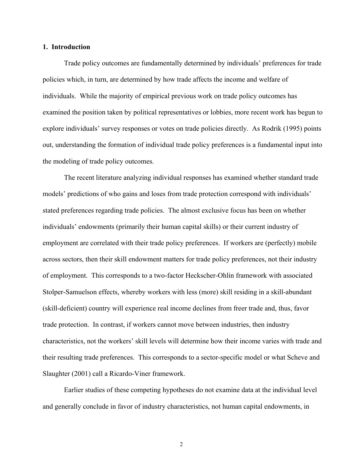#### **1. Introduction**

 Trade policy outcomes are fundamentally determined by individuals' preferences for trade policies which, in turn, are determined by how trade affects the income and welfare of individuals. While the majority of empirical previous work on trade policy outcomes has examined the position taken by political representatives or lobbies, more recent work has begun to explore individuals' survey responses or votes on trade policies directly. As Rodrik (1995) points out, understanding the formation of individual trade policy preferences is a fundamental input into the modeling of trade policy outcomes.

The recent literature analyzing individual responses has examined whether standard trade models' predictions of who gains and loses from trade protection correspond with individuals' stated preferences regarding trade policies. The almost exclusive focus has been on whether individuals' endowments (primarily their human capital skills) or their current industry of employment are correlated with their trade policy preferences. If workers are (perfectly) mobile across sectors, then their skill endowment matters for trade policy preferences, not their industry of employment. This corresponds to a two-factor Heckscher-Ohlin framework with associated Stolper-Samuelson effects, whereby workers with less (more) skill residing in a skill-abundant (skill-deficient) country will experience real income declines from freer trade and, thus, favor trade protection. In contrast, if workers cannot move between industries, then industry characteristics, not the workers' skill levels will determine how their income varies with trade and their resulting trade preferences. This corresponds to a sector-specific model or what Scheve and Slaughter (2001) call a Ricardo-Viner framework.

 Earlier studies of these competing hypotheses do not examine data at the individual level and generally conclude in favor of industry characteristics, not human capital endowments, in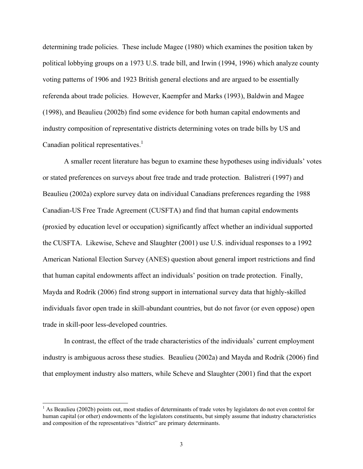determining trade policies. These include Magee (1980) which examines the position taken by political lobbying groups on a 1973 U.S. trade bill, and Irwin (1994, 1996) which analyze county voting patterns of 1906 and 1923 British general elections and are argued to be essentially referenda about trade policies. However, Kaempfer and Marks (1993), Baldwin and Magee (1998), and Beaulieu (2002b) find some evidence for both human capital endowments and industry composition of representative districts determining votes on trade bills by US and Canadian political representatives. $<sup>1</sup>$ </sup>

 A smaller recent literature has begun to examine these hypotheses using individuals' votes or stated preferences on surveys about free trade and trade protection. Balistreri (1997) and Beaulieu (2002a) explore survey data on individual Canadians preferences regarding the 1988 Canadian-US Free Trade Agreement (CUSFTA) and find that human capital endowments (proxied by education level or occupation) significantly affect whether an individual supported the CUSFTA. Likewise, Scheve and Slaughter (2001) use U.S. individual responses to a 1992 American National Election Survey (ANES) question about general import restrictions and find that human capital endowments affect an individuals' position on trade protection. Finally, Mayda and Rodrik (2006) find strong support in international survey data that highly-skilled individuals favor open trade in skill-abundant countries, but do not favor (or even oppose) open trade in skill-poor less-developed countries.

In contrast, the effect of the trade characteristics of the individuals' current employment industry is ambiguous across these studies. Beaulieu (2002a) and Mayda and Rodrik (2006) find that employment industry also matters, while Scheve and Slaughter (2001) find that the export

l

<sup>&</sup>lt;sup>1</sup> As Beaulieu (2002b) points out, most studies of determinants of trade votes by legislators do not even control for human capital (or other) endowments of the legislators constituents, but simply assume that industry characteristics and composition of the representatives "district" are primary determinants.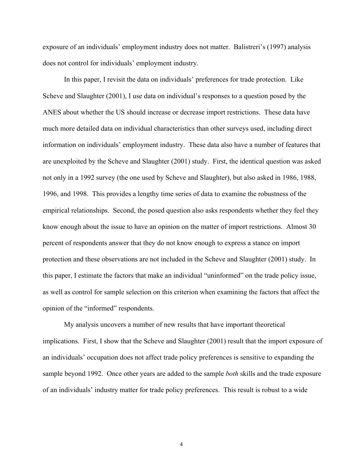exposure of an individuals' employment industry does not matter. Balistreri's (1997) analysis does not control for individuals' employment industry.

 In this paper, I revisit the data on individuals' preferences for trade protection. Like Scheve and Slaughter (2001), I use data on individual's responses to a question posed by the ANES about whether the US should increase or decrease import restrictions. These data have much more detailed data on individual characteristics than other surveys used, including direct information on individuals' employment industry. These data also have a number of features that are unexploited by the Scheve and Slaughter (2001) study. First, the identical question was asked not only in a 1992 survey (the one used by Scheve and Slaughter), but also asked in 1986, 1988, 1996, and 1998. This provides a lengthy time series of data to examine the robustness of the empirical relationships. Second, the posed question also asks respondents whether they feel they know enough about the issue to have an opinion on the matter of import restrictions. Almost 30 percent of respondents answer that they do not know enough to express a stance on import protection and these observations are not included in the Scheve and Slaughter (2001) study. In this paper, I estimate the factors that make an individual "uninformed" on the trade policy issue, as well as control for sample selection on this criterion when examining the factors that affect the opinion of the "informed" respondents.

 My analysis uncovers a number of new results that have important theoretical implications. First, I show that the Scheve and Slaughter (2001) result that the import exposure of an individuals' occupation does not affect trade policy preferences is sensitive to expanding the sample beyond 1992. Once other years are added to the sample *both* skills and the trade exposure of an individuals' industry matter for trade policy preferences. This result is robust to a wide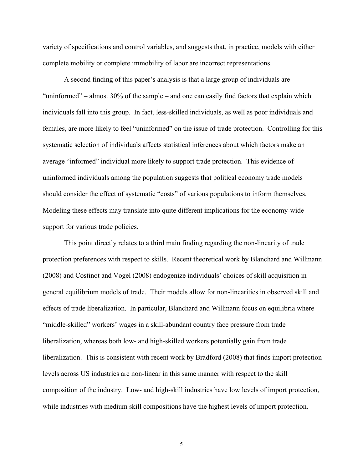variety of specifications and control variables, and suggests that, in practice, models with either complete mobility or complete immobility of labor are incorrect representations.

 A second finding of this paper's analysis is that a large group of individuals are "uninformed" – almost 30% of the sample – and one can easily find factors that explain which individuals fall into this group. In fact, less-skilled individuals, as well as poor individuals and females, are more likely to feel "uninformed" on the issue of trade protection. Controlling for this systematic selection of individuals affects statistical inferences about which factors make an average "informed" individual more likely to support trade protection. This evidence of uninformed individuals among the population suggests that political economy trade models should consider the effect of systematic "costs" of various populations to inform themselves. Modeling these effects may translate into quite different implications for the economy-wide support for various trade policies.

 This point directly relates to a third main finding regarding the non-linearity of trade protection preferences with respect to skills. Recent theoretical work by Blanchard and Willmann (2008) and Costinot and Vogel (2008) endogenize individuals' choices of skill acquisition in general equilibrium models of trade. Their models allow for non-linearities in observed skill and effects of trade liberalization. In particular, Blanchard and Willmann focus on equilibria where "middle-skilled" workers' wages in a skill-abundant country face pressure from trade liberalization, whereas both low- and high-skilled workers potentially gain from trade liberalization. This is consistent with recent work by Bradford (2008) that finds import protection levels across US industries are non-linear in this same manner with respect to the skill composition of the industry. Low- and high-skill industries have low levels of import protection, while industries with medium skill compositions have the highest levels of import protection.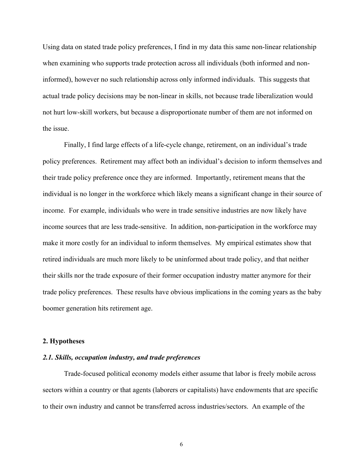Using data on stated trade policy preferences, I find in my data this same non-linear relationship when examining who supports trade protection across all individuals (both informed and noninformed), however no such relationship across only informed individuals. This suggests that actual trade policy decisions may be non-linear in skills, not because trade liberalization would not hurt low-skill workers, but because a disproportionate number of them are not informed on the issue.

 Finally, I find large effects of a life-cycle change, retirement, on an individual's trade policy preferences. Retirement may affect both an individual's decision to inform themselves and their trade policy preference once they are informed. Importantly, retirement means that the individual is no longer in the workforce which likely means a significant change in their source of income. For example, individuals who were in trade sensitive industries are now likely have income sources that are less trade-sensitive. In addition, non-participation in the workforce may make it more costly for an individual to inform themselves. My empirical estimates show that retired individuals are much more likely to be uninformed about trade policy, and that neither their skills nor the trade exposure of their former occupation industry matter anymore for their trade policy preferences. These results have obvious implications in the coming years as the baby boomer generation hits retirement age.

#### **2. Hypotheses**

#### *2.1. Skills, occupation industry, and trade preferences*

Trade-focused political economy models either assume that labor is freely mobile across sectors within a country or that agents (laborers or capitalists) have endowments that are specific to their own industry and cannot be transferred across industries/sectors. An example of the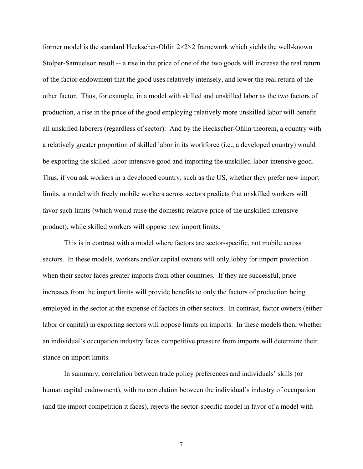former model is the standard Heckscher-Ohlin  $2 \times 2 \times 2$  framework which yields the well-known Stolper-Samuelson result -- a rise in the price of one of the two goods will increase the real return of the factor endowment that the good uses relatively intensely, and lower the real return of the other factor. Thus, for example, in a model with skilled and unskilled labor as the two factors of production, a rise in the price of the good employing relatively more unskilled labor will benefit all unskilled laborers (regardless of sector). And by the Heckscher-Ohlin theorem, a country with a relatively greater proportion of skilled labor in its workforce (i.e., a developed country) would be exporting the skilled-labor-intensive good and importing the unskilled-labor-intensive good. Thus, if you ask workers in a developed country, such as the US, whether they prefer new import limits, a model with freely mobile workers across sectors predicts that unskilled workers will favor such limits (which would raise the domestic relative price of the unskilled-intensive product), while skilled workers will oppose new import limits.

 This is in contrast with a model where factors are sector-specific, not mobile across sectors. In these models, workers and/or capital owners will only lobby for import protection when their sector faces greater imports from other countries. If they are successful, price increases from the import limits will provide benefits to only the factors of production being employed in the sector at the expense of factors in other sectors. In contrast, factor owners (either labor or capital) in exporting sectors will oppose limits on imports. In these models then, whether an individual's occupation industry faces competitive pressure from imports will determine their stance on import limits.

 In summary, correlation between trade policy preferences and individuals' skills (or human capital endowment), with no correlation between the individual's industry of occupation (and the import competition it faces), rejects the sector-specific model in favor of a model with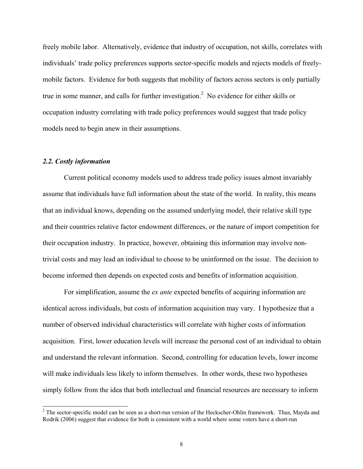freely mobile labor. Alternatively, evidence that industry of occupation, not skills, correlates with individuals' trade policy preferences supports sector-specific models and rejects models of freelymobile factors. Evidence for both suggests that mobility of factors across sectors is only partially true in some manner, and calls for further investigation.<sup>2</sup> No evidence for either skills or occupation industry correlating with trade policy preferences would suggest that trade policy models need to begin anew in their assumptions.

## *2.2. Costly information*

 $\overline{a}$ 

Current political economy models used to address trade policy issues almost invariably assume that individuals have full information about the state of the world. In reality, this means that an individual knows, depending on the assumed underlying model, their relative skill type and their countries relative factor endowment differences, or the nature of import competition for their occupation industry. In practice, however, obtaining this information may involve nontrivial costs and may lead an individual to choose to be uninformed on the issue. The decision to become informed then depends on expected costs and benefits of information acquisition.

For simplification, assume the *ex ante* expected benefits of acquiring information are identical across individuals, but costs of information acquisition may vary. I hypothesize that a number of observed individual characteristics will correlate with higher costs of information acquisition. First, lower education levels will increase the personal cost of an individual to obtain and understand the relevant information. Second, controlling for education levels, lower income will make individuals less likely to inform themselves. In other words, these two hypotheses simply follow from the idea that both intellectual and financial resources are necessary to inform

 $2^2$  The sector-specific model can be seen as a short-run version of the Heckscher-Ohlin framework. Thus, Mayda and Rodrik (2006) suggest that evidence for both is consistent with a world where some voters have a short-run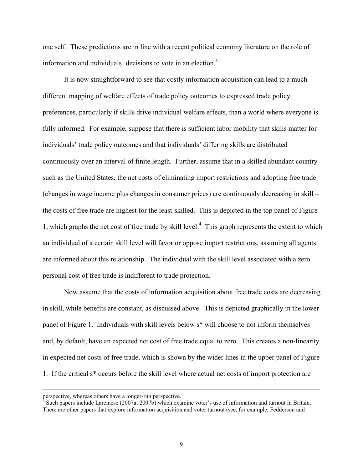one self. These predictions are in line with a recent political economy literature on the role of information and individuals' decisions to vote in an election.<sup>3</sup>

It is now straightforward to see that costly information acquisition can lead to a much different mapping of welfare effects of trade policy outcomes to expressed trade policy preferences, particularly if skills drive individual welfare effects, than a world where everyone is fully informed. For example, suppose that there is sufficient labor mobility that skills matter for individuals' trade policy outcomes and that individuals' differing skills are distributed continuously over an interval of finite length. Further, assume that in a skilled abundant country such as the United States, the net costs of eliminating import restrictions and adopting free trade (changes in wage income plus changes in consumer prices) are continuously decreasing in skill – the costs of free trade are highest for the least-skilled. This is depicted in the top panel of Figure 1, which graphs the net cost of free trade by skill level.<sup>4</sup> This graph represents the extent to which an individual of a certain skill level will favor or oppose import restrictions, assuming all agents are informed about this relationship. The individual with the skill level associated with a zero personal cost of free trade is indifferent to trade protection.

Now assume that the costs of information acquisition about free trade costs are decreasing in skill, while benefits are constant, as discussed above. This is depicted graphically in the lower panel of Figure 1. Individuals with skill levels below s\* will choose to not inform themselves and, by default, have an expected net cost of free trade equal to zero. This creates a non-linearity in expected net costs of free trade, which is shown by the wider lines in the upper panel of Figure 1. If the critical s\* occurs before the skill level where actual net costs of import protection are

 $\overline{a}$ 

perspective, whereas others have a longer-run perspective.<br><sup>3</sup> Such peners include Larginese (2007e: 2007b) which exam

<sup>&</sup>lt;sup>3</sup> Such papers include Larcinese (2007a; 2007b) which examine voter's use of information and turnout in Britain. There are other papers that explore information acquisition and voter turnout (see, for example, Fedderson and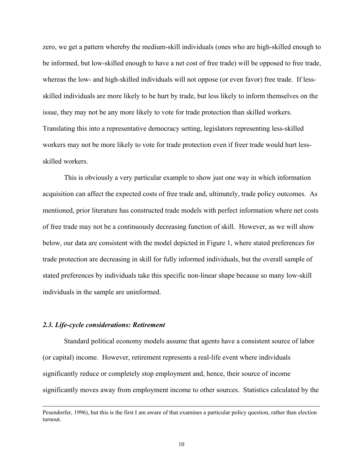zero, we get a pattern whereby the medium-skill individuals (ones who are high-skilled enough to be informed, but low-skilled enough to have a net cost of free trade) will be opposed to free trade, whereas the low- and high-skilled individuals will not oppose (or even favor) free trade. If lessskilled individuals are more likely to be hurt by trade, but less likely to inform themselves on the issue, they may not be any more likely to vote for trade protection than skilled workers. Translating this into a representative democracy setting, legislators representing less-skilled workers may not be more likely to vote for trade protection even if freer trade would hurt lessskilled workers.

This is obviously a very particular example to show just one way in which information acquisition can affect the expected costs of free trade and, ultimately, trade policy outcomes. As mentioned, prior literature has constructed trade models with perfect information where net costs of free trade may not be a continuously decreasing function of skill. However, as we will show below, our data are consistent with the model depicted in Figure 1, where stated preferences for trade protection are decreasing in skill for fully informed individuals, but the overall sample of stated preferences by individuals take this specific non-linear shape because so many low-skill individuals in the sample are uninformed.

#### *2.3. Life-cycle considerations: Retirement*

 $\overline{a}$ 

 Standard political economy models assume that agents have a consistent source of labor (or capital) income. However, retirement represents a real-life event where individuals significantly reduce or completely stop employment and, hence, their source of income significantly moves away from employment income to other sources. Statistics calculated by the

Pesendorfer, 1996), but this is the first I am aware of that examines a particular policy question, rather than election turnout.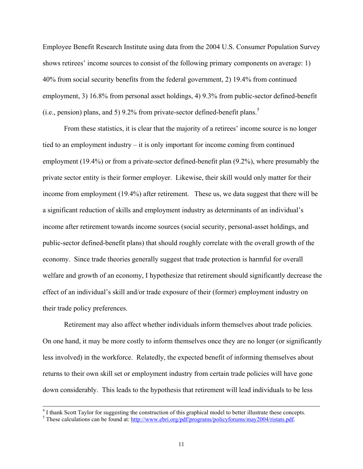Employee Benefit Research Institute using data from the 2004 U.S. Consumer Population Survey shows retirees' income sources to consist of the following primary components on average: 1) 40% from social security benefits from the federal government, 2) 19.4% from continued employment, 3) 16.8% from personal asset holdings, 4) 9.3% from public-sector defined-benefit (i.e., pension) plans, and 5) 9.2% from private-sector defined-benefit plans.<sup>5</sup>

From these statistics, it is clear that the majority of a retirees' income source is no longer tied to an employment industry – it is only important for income coming from continued employment (19.4%) or from a private-sector defined-benefit plan (9.2%), where presumably the private sector entity is their former employer. Likewise, their skill would only matter for their income from employment (19.4%) after retirement. These us, we data suggest that there will be a significant reduction of skills and employment industry as determinants of an individual's income after retirement towards income sources (social security, personal-asset holdings, and public-sector defined-benefit plans) that should roughly correlate with the overall growth of the economy. Since trade theories generally suggest that trade protection is harmful for overall welfare and growth of an economy, I hypothesize that retirement should significantly decrease the effect of an individual's skill and/or trade exposure of their (former) employment industry on their trade policy preferences.

Retirement may also affect whether individuals inform themselves about trade policies. On one hand, it may be more costly to inform themselves once they are no longer (or significantly less involved) in the workforce. Relatedly, the expected benefit of informing themselves about returns to their own skill set or employment industry from certain trade policies will have gone down considerably. This leads to the hypothesis that retirement will lead individuals to be less

 <sup>4</sup> <sup>4</sup> I thank Scott Taylor for suggesting the construction of this graphical model to better illustrate these concepts.

<sup>&</sup>lt;sup>5</sup> These calculations can be found at:  $\frac{http://www.ebri.org/pdf/programs/policyforums/may2004/ristats.pdf}{http://www.ebri.org/pdf/programs/policyforums/may2004/ristats.pdf}$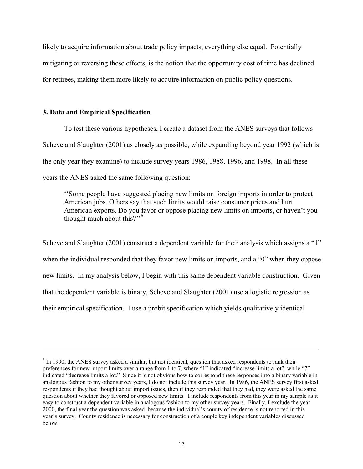likely to acquire information about trade policy impacts, everything else equal. Potentially mitigating or reversing these effects, is the notion that the opportunity cost of time has declined for retirees, making them more likely to acquire information on public policy questions.

#### **3. Data and Empirical Specification**

 $\overline{a}$ 

To test these various hypotheses, I create a dataset from the ANES surveys that follows Scheve and Slaughter (2001) as closely as possible, while expanding beyond year 1992 (which is the only year they examine) to include survey years 1986, 1988, 1996, and 1998. In all these years the ANES asked the same following question:

''Some people have suggested placing new limits on foreign imports in order to protect American jobs. Others say that such limits would raise consumer prices and hurt American exports. Do you favor or oppose placing new limits on imports, or haven't you thought much about this?"<sup>6</sup>

Scheve and Slaughter (2001) construct a dependent variable for their analysis which assigns a "1" when the individual responded that they favor new limits on imports, and a "0" when they oppose new limits. In my analysis below, I begin with this same dependent variable construction. Given that the dependent variable is binary, Scheve and Slaughter (2001) use a logistic regression as their empirical specification. I use a probit specification which yields qualitatively identical

 $6$  In 1990, the ANES survey asked a similar, but not identical, question that asked respondents to rank their preferences for new import limits over a range from 1 to 7, where "1" indicated "increase limits a lot", while "7" indicated "decrease limits a lot." Since it is not obvious how to correspond these responses into a binary variable in analogous fashion to my other survey years, I do not include this survey year. In 1986, the ANES survey first asked respondents if they had thought about import issues, then if they responded that they had, they were asked the same question about whether they favored or opposed new limits. I include respondents from this year in my sample as it easy to construct a dependent variable in analogous fashion to my other survey years. Finally, I exclude the year 2000, the final year the question was asked, because the individual's county of residence is not reported in this year's survey. County residence is necessary for construction of a couple key independent variables discussed below.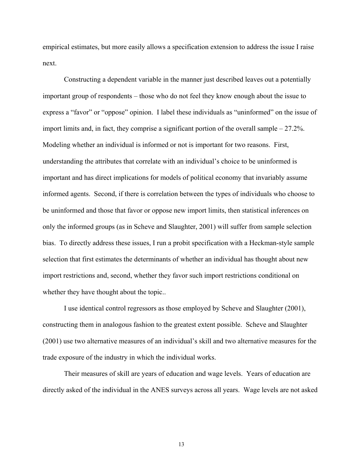empirical estimates, but more easily allows a specification extension to address the issue I raise next.

 Constructing a dependent variable in the manner just described leaves out a potentially important group of respondents – those who do not feel they know enough about the issue to express a "favor" or "oppose" opinion. I label these individuals as "uninformed" on the issue of import limits and, in fact, they comprise a significant portion of the overall sample – 27.2%. Modeling whether an individual is informed or not is important for two reasons. First, understanding the attributes that correlate with an individual's choice to be uninformed is important and has direct implications for models of political economy that invariably assume informed agents. Second, if there is correlation between the types of individuals who choose to be uninformed and those that favor or oppose new import limits, then statistical inferences on only the informed groups (as in Scheve and Slaughter, 2001) will suffer from sample selection bias. To directly address these issues, I run a probit specification with a Heckman-style sample selection that first estimates the determinants of whether an individual has thought about new import restrictions and, second, whether they favor such import restrictions conditional on whether they have thought about the topic..

I use identical control regressors as those employed by Scheve and Slaughter (2001), constructing them in analogous fashion to the greatest extent possible. Scheve and Slaughter (2001) use two alternative measures of an individual's skill and two alternative measures for the trade exposure of the industry in which the individual works.

Their measures of skill are years of education and wage levels. Years of education are directly asked of the individual in the ANES surveys across all years. Wage levels are not asked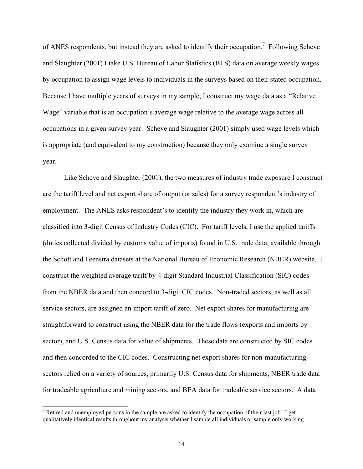of ANES respondents, but instead they are asked to identify their occupation.<sup>7</sup> Following Scheve and Slaughter (2001) I take U.S. Bureau of Labor Statistics (BLS) data on average weekly wages by occupation to assign wage levels to individuals in the surveys based on their stated occupation. Because I have multiple years of surveys in my sample, I construct my wage data as a "Relative Wage" variable that is an occupation's average wage relative to the average wage across all occupations in a given survey year. Scheve and Slaughter (2001) simply used wage levels which is appropriate (and equivalent to my construction) because they only examine a single survey year.

Like Scheve and Slaughter (2001), the two measures of industry trade exposure I construct are the tariff level and net export share of output (or sales) for a survey respondent's industry of employment. The ANES asks respondent's to identify the industry they work in, which are classified into 3-digit Census of Industry Codes (CIC). For tariff levels, I use the applied tariffs (duties collected divided by customs value of imports) found in U.S. trade data, available through the Schott and Feenstra datasets at the National Bureau of Economic Research (NBER) website. I construct the weighted average tariff by 4-digit Standard Industrial Classification (SIC) codes from the NBER data and then concord to 3-digit CIC codes. Non-traded sectors, as well as all service sectors, are assigned an import tariff of zero. Net export shares for manufacturing are straightforward to construct using the NBER data for the trade flows (exports and imports by sector), and U.S. Census data for value of shipments. These data are constructed by SIC codes and then concorded to the CIC codes. Constructing net export shares for non-manufacturing sectors relied on a variety of sources, primarily U.S. Census data for shipments, NBER trade data for tradeable agriculture and mining sectors, and BEA data for tradeable service sectors. A data

 $\overline{a}$ 

<sup>&</sup>lt;sup>7</sup> Retired and unemployed persons in the sample are asked to identify the occupation of their last job. I get qualitatively identical results throughout my analysis whether I sample all individuals or sample only working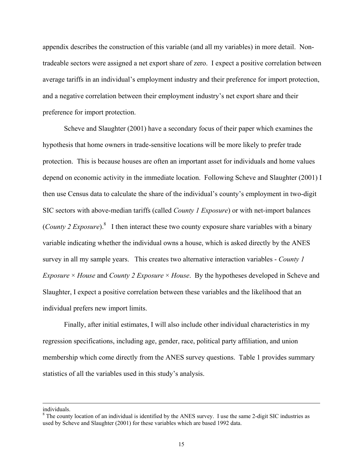appendix describes the construction of this variable (and all my variables) in more detail. Nontradeable sectors were assigned a net export share of zero. I expect a positive correlation between average tariffs in an individual's employment industry and their preference for import protection, and a negative correlation between their employment industry's net export share and their preference for import protection.

Scheve and Slaughter (2001) have a secondary focus of their paper which examines the hypothesis that home owners in trade-sensitive locations will be more likely to prefer trade protection. This is because houses are often an important asset for individuals and home values depend on economic activity in the immediate location. Following Scheve and Slaughter (2001) I then use Census data to calculate the share of the individual's county's employment in two-digit SIC sectors with above-median tariffs (called *County 1 Exposure*) or with net-import balances (*County 2 Exposure*).<sup>8</sup> I then interact these two county exposure share variables with a binary variable indicating whether the individual owns a house, which is asked directly by the ANES survey in all my sample years. This creates two alternative interaction variables - *County 1 Exposure* × *House* and *County 2 Exposure* × *House*. By the hypotheses developed in Scheve and Slaughter, I expect a positive correlation between these variables and the likelihood that an individual prefers new import limits.

Finally, after initial estimates, I will also include other individual characteristics in my regression specifications, including age, gender, race, political party affiliation, and union membership which come directly from the ANES survey questions. Table 1 provides summary statistics of all the variables used in this study's analysis.

l

individuals.

 $8$  The county location of an individual is identified by the ANES survey. I use the same 2-digit SIC industries as used by Scheve and Slaughter (2001) for these variables which are based 1992 data.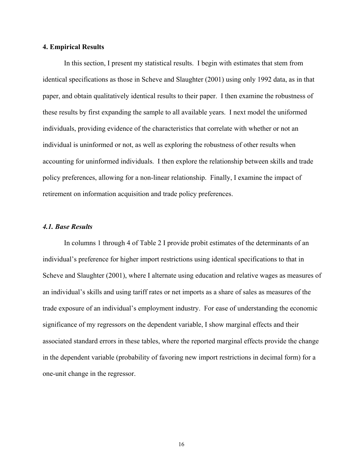#### **4. Empirical Results**

 In this section, I present my statistical results. I begin with estimates that stem from identical specifications as those in Scheve and Slaughter (2001) using only 1992 data, as in that paper, and obtain qualitatively identical results to their paper. I then examine the robustness of these results by first expanding the sample to all available years. I next model the uniformed individuals, providing evidence of the characteristics that correlate with whether or not an individual is uninformed or not, as well as exploring the robustness of other results when accounting for uninformed individuals. I then explore the relationship between skills and trade policy preferences, allowing for a non-linear relationship. Finally, I examine the impact of retirement on information acquisition and trade policy preferences.

#### *4.1. Base Results*

In columns 1 through 4 of Table 2 I provide probit estimates of the determinants of an individual's preference for higher import restrictions using identical specifications to that in Scheve and Slaughter (2001), where I alternate using education and relative wages as measures of an individual's skills and using tariff rates or net imports as a share of sales as measures of the trade exposure of an individual's employment industry. For ease of understanding the economic significance of my regressors on the dependent variable, I show marginal effects and their associated standard errors in these tables, where the reported marginal effects provide the change in the dependent variable (probability of favoring new import restrictions in decimal form) for a one-unit change in the regressor.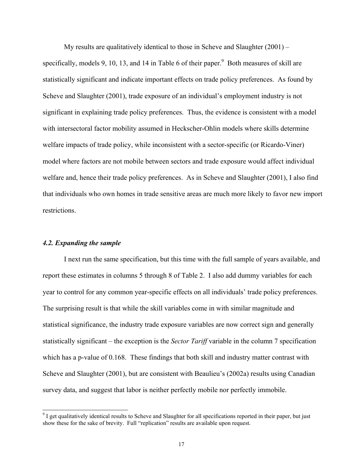My results are qualitatively identical to those in Scheve and Slaughter  $(2001)$  – specifically, models 9, 10, 13, and 14 in Table 6 of their paper. $9$  Both measures of skill are statistically significant and indicate important effects on trade policy preferences. As found by Scheve and Slaughter (2001), trade exposure of an individual's employment industry is not significant in explaining trade policy preferences. Thus, the evidence is consistent with a model with intersectoral factor mobility assumed in Heckscher-Ohlin models where skills determine welfare impacts of trade policy, while inconsistent with a sector-specific (or Ricardo-Viner) model where factors are not mobile between sectors and trade exposure would affect individual welfare and, hence their trade policy preferences. As in Scheve and Slaughter (2001), I also find that individuals who own homes in trade sensitive areas are much more likely to favor new import restrictions.

#### *4.2. Expanding the sample*

 $\overline{a}$ 

 I next run the same specification, but this time with the full sample of years available, and report these estimates in columns 5 through 8 of Table 2. I also add dummy variables for each year to control for any common year-specific effects on all individuals' trade policy preferences. The surprising result is that while the skill variables come in with similar magnitude and statistical significance, the industry trade exposure variables are now correct sign and generally statistically significant – the exception is the *Sector Tariff* variable in the column 7 specification which has a p-value of 0.168. These findings that both skill and industry matter contrast with Scheve and Slaughter (2001), but are consistent with Beaulieu's (2002a) results using Canadian survey data, and suggest that labor is neither perfectly mobile nor perfectly immobile.

 $9<sup>9</sup>$  I get qualitatively identical results to Scheve and Slaughter for all specifications reported in their paper, but just show these for the sake of brevity. Full "replication" results are available upon request.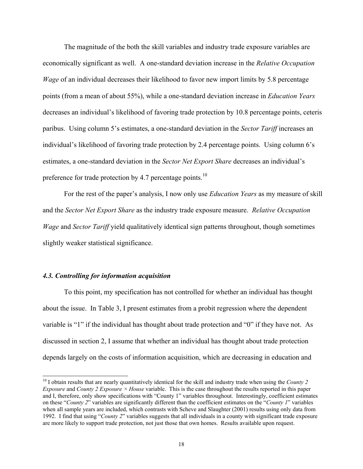The magnitude of the both the skill variables and industry trade exposure variables are economically significant as well. A one-standard deviation increase in the *Relative Occupation Wage* of an individual decreases their likelihood to favor new import limits by 5.8 percentage points (from a mean of about 55%), while a one-standard deviation increase in *Education Years* decreases an individual's likelihood of favoring trade protection by 10.8 percentage points, ceteris paribus. Using column 5's estimates, a one-standard deviation in the *Sector Tariff* increases an individual's likelihood of favoring trade protection by 2.4 percentage points. Using column 6's estimates, a one-standard deviation in the *Sector Net Export Share* decreases an individual's preference for trade protection by 4.7 percentage points.<sup>10</sup>

For the rest of the paper's analysis, I now only use *Education Years* as my measure of skill and the *Sector Net Export Share* as the industry trade exposure measure. *Relative Occupation Wage* and *Sector Tariff* yield qualitatively identical sign patterns throughout, though sometimes slightly weaker statistical significance.

#### *4.3. Controlling for information acquisition*

 $\overline{a}$ 

 To this point, my specification has not controlled for whether an individual has thought about the issue. In Table 3, I present estimates from a probit regression where the dependent variable is "1" if the individual has thought about trade protection and "0" if they have not. As discussed in section 2, I assume that whether an individual has thought about trade protection depends largely on the costs of information acquisition, which are decreasing in education and

<sup>&</sup>lt;sup>10</sup> I obtain results that are nearly quantitatively identical for the skill and industry trade when using the *County 2 Exposure* and *County 2 Exposure × House* variable. This is the case throughout the results reported in this paper and I, therefore, only show specifications with "County 1" variables throughout. Interestingly, coefficient estimates on these "*County 2*" variables are significantly different than the coefficient estimates on the "*County 1*" variables when all sample years are included, which contrasts with Scheve and Slaughter (2001) results using only data from 1992. I find that using "*County 2*" variables suggests that all individuals in a county with significant trade exposure are more likely to support trade protection, not just those that own homes. Results available upon request.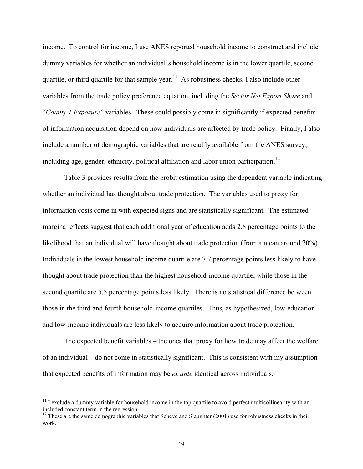income. To control for income, I use ANES reported household income to construct and include dummy variables for whether an individual's household income is in the lower quartile, second quartile, or third quartile for that sample year.<sup>11</sup> As robustness checks, I also include other variables from the trade policy preference equation, including the *Sector Net Export Share* and "*County 1 Exposure*" variables. These could possibly come in significantly if expected benefits of information acquisition depend on how individuals are affected by trade policy. Finally, I also include a number of demographic variables that are readily available from the ANES survey, including age, gender, ethnicity, political affiliation and labor union participation.<sup>12</sup>

 Table 3 provides results from the probit estimation using the dependent variable indicating whether an individual has thought about trade protection. The variables used to proxy for information costs come in with expected signs and are statistically significant. The estimated marginal effects suggest that each additional year of education adds 2.8 percentage points to the likelihood that an individual will have thought about trade protection (from a mean around 70%). Individuals in the lowest household income quartile are 7.7 percentage points less likely to have thought about trade protection than the highest household-income quartile, while those in the second quartile are 5.5 percentage points less likely. There is no statistical difference between those in the third and fourth household-income quartiles. Thus, as hypothesized, low-education and low-income individuals are less likely to acquire information about trade protection.

 The expected benefit variables – the ones that proxy for how trade may affect the welfare of an individual – do not come in statistically significant. This is consistent with my assumption that expected benefits of information may be *ex ante* identical across individuals.

 $\overline{\phantom{a}}$ 

 $11$  I exclude a dummy variable for household income in the top quartile to avoid perfect multicollinearity with an included constant term in the regression.

 $12$  These are the same demographic variables that Scheve and Slaughter (2001) use for robustness checks in their work.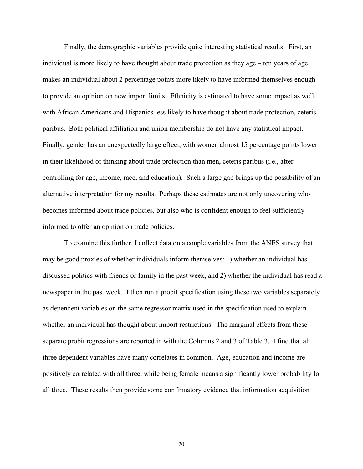Finally, the demographic variables provide quite interesting statistical results. First, an individual is more likely to have thought about trade protection as they age – ten years of age makes an individual about 2 percentage points more likely to have informed themselves enough to provide an opinion on new import limits. Ethnicity is estimated to have some impact as well, with African Americans and Hispanics less likely to have thought about trade protection, ceteris paribus. Both political affiliation and union membership do not have any statistical impact. Finally, gender has an unexpectedly large effect, with women almost 15 percentage points lower in their likelihood of thinking about trade protection than men, ceteris paribus (i.e., after controlling for age, income, race, and education). Such a large gap brings up the possibility of an alternative interpretation for my results. Perhaps these estimates are not only uncovering who becomes informed about trade policies, but also who is confident enough to feel sufficiently informed to offer an opinion on trade policies.

 To examine this further, I collect data on a couple variables from the ANES survey that may be good proxies of whether individuals inform themselves: 1) whether an individual has discussed politics with friends or family in the past week, and 2) whether the individual has read a newspaper in the past week. I then run a probit specification using these two variables separately as dependent variables on the same regressor matrix used in the specification used to explain whether an individual has thought about import restrictions. The marginal effects from these separate probit regressions are reported in with the Columns 2 and 3 of Table 3. I find that all three dependent variables have many correlates in common. Age, education and income are positively correlated with all three, while being female means a significantly lower probability for all three. These results then provide some confirmatory evidence that information acquisition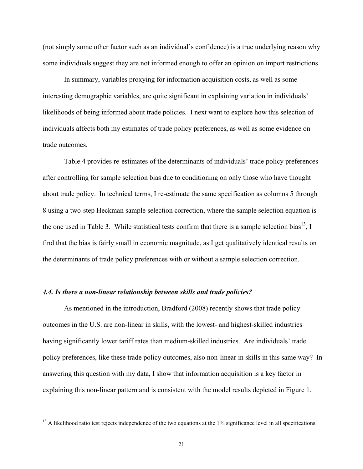(not simply some other factor such as an individual's confidence) is a true underlying reason why some individuals suggest they are not informed enough to offer an opinion on import restrictions.

In summary, variables proxying for information acquisition costs, as well as some interesting demographic variables, are quite significant in explaining variation in individuals' likelihoods of being informed about trade policies. I next want to explore how this selection of individuals affects both my estimates of trade policy preferences, as well as some evidence on trade outcomes.

Table 4 provides re-estimates of the determinants of individuals' trade policy preferences after controlling for sample selection bias due to conditioning on only those who have thought about trade policy. In technical terms, I re-estimate the same specification as columns 5 through 8 using a two-step Heckman sample selection correction, where the sample selection equation is the one used in Table 3. While statistical tests confirm that there is a sample selection bias<sup>13</sup>, I find that the bias is fairly small in economic magnitude, as I get qualitatively identical results on the determinants of trade policy preferences with or without a sample selection correction.

#### *4.4. Is there a non-linear relationship between skills and trade policies?*

 $\overline{\phantom{a}}$ 

As mentioned in the introduction, Bradford (2008) recently shows that trade policy outcomes in the U.S. are non-linear in skills, with the lowest- and highest-skilled industries having significantly lower tariff rates than medium-skilled industries. Are individuals' trade policy preferences, like these trade policy outcomes, also non-linear in skills in this same way? In answering this question with my data, I show that information acquisition is a key factor in explaining this non-linear pattern and is consistent with the model results depicted in Figure 1.

 $13$  A likelihood ratio test rejects independence of the two equations at the  $1\%$  significance level in all specifications.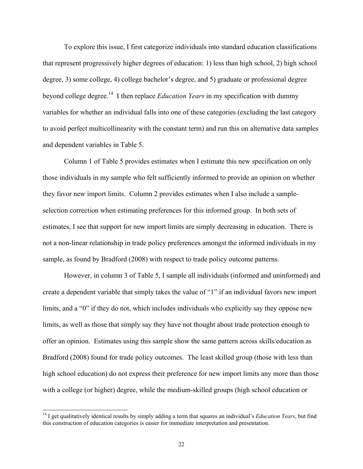To explore this issue, I first categorize individuals into standard education classifications that represent progressively higher degrees of education: 1) less than high school, 2) high school degree, 3) some college, 4) college bachelor's degree, and 5) graduate or professional degree beyond college degree.14 I then replace *Education Years* in my specification with dummy variables for whether an individual falls into one of these categories (excluding the last category to avoid perfect multicollinearity with the constant term) and run this on alternative data samples and dependent variables in Table 5.

 Column 1 of Table 5 provides estimates when I estimate this new specification on only those individuals in my sample who felt sufficiently informed to provide an opinion on whether they favor new import limits. Column 2 provides estimates when I also include a sampleselection correction when estimating preferences for this informed group. In both sets of estimates, I see that support for new import limits are simply decreasing in education. There is not a non-linear relationship in trade policy preferences amongst the informed individuals in my sample, as found by Bradford (2008) with respect to trade policy outcome patterns.

However, in column 3 of Table 5, I sample all individuals (informed and uninformed) and create a dependent variable that simply takes the value of "1" if an individual favors new import limits, and a "0" if they do not, which includes individuals who explicitly say they oppose new limits, as well as those that simply say they have not thought about trade protection enough to offer an opinion. Estimates using this sample show the same pattern across skills/education as Bradford (2008) found for trade policy outcomes. The least skilled group (those with less than high school education) do not express their preference for new import limits any more than those with a college (or higher) degree, while the medium-skilled groups (high school education or

 $\overline{\phantom{a}}$ 

<sup>&</sup>lt;sup>14</sup> I get qualitatively identical results by simply adding a term that squares an individual's *Education Years*, but find this construction of education categories is easier for immediate interpretation and presentation.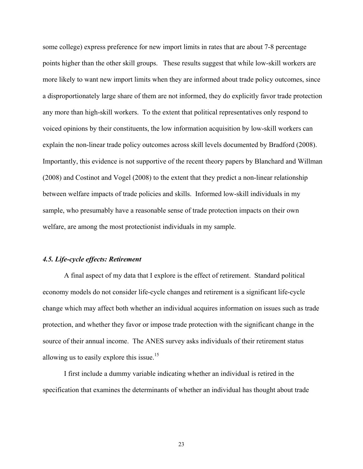some college) express preference for new import limits in rates that are about 7-8 percentage points higher than the other skill groups. These results suggest that while low-skill workers are more likely to want new import limits when they are informed about trade policy outcomes, since a disproportionately large share of them are not informed, they do explicitly favor trade protection any more than high-skill workers. To the extent that political representatives only respond to voiced opinions by their constituents, the low information acquisition by low-skill workers can explain the non-linear trade policy outcomes across skill levels documented by Bradford (2008). Importantly, this evidence is not supportive of the recent theory papers by Blanchard and Willman (2008) and Costinot and Vogel (2008) to the extent that they predict a non-linear relationship between welfare impacts of trade policies and skills. Informed low-skill individuals in my sample, who presumably have a reasonable sense of trade protection impacts on their own welfare, are among the most protectionist individuals in my sample.

#### *4.5. Life-cycle effects: Retirement*

 A final aspect of my data that I explore is the effect of retirement. Standard political economy models do not consider life-cycle changes and retirement is a significant life-cycle change which may affect both whether an individual acquires information on issues such as trade protection, and whether they favor or impose trade protection with the significant change in the source of their annual income. The ANES survey asks individuals of their retirement status allowing us to easily explore this issue.<sup>15</sup>

 I first include a dummy variable indicating whether an individual is retired in the specification that examines the determinants of whether an individual has thought about trade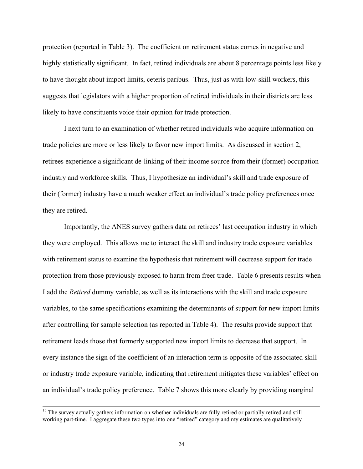protection (reported in Table 3). The coefficient on retirement status comes in negative and highly statistically significant. In fact, retired individuals are about 8 percentage points less likely to have thought about import limits, ceteris paribus. Thus, just as with low-skill workers, this suggests that legislators with a higher proportion of retired individuals in their districts are less likely to have constituents voice their opinion for trade protection.

 I next turn to an examination of whether retired individuals who acquire information on trade policies are more or less likely to favor new import limits. As discussed in section 2, retirees experience a significant de-linking of their income source from their (former) occupation industry and workforce skills. Thus, I hypothesize an individual's skill and trade exposure of their (former) industry have a much weaker effect an individual's trade policy preferences once they are retired.

Importantly, the ANES survey gathers data on retirees' last occupation industry in which they were employed. This allows me to interact the skill and industry trade exposure variables with retirement status to examine the hypothesis that retirement will decrease support for trade protection from those previously exposed to harm from freer trade. Table 6 presents results when I add the *Retired* dummy variable, as well as its interactions with the skill and trade exposure variables, to the same specifications examining the determinants of support for new import limits after controlling for sample selection (as reported in Table 4). The results provide support that retirement leads those that formerly supported new import limits to decrease that support. In every instance the sign of the coefficient of an interaction term is opposite of the associated skill or industry trade exposure variable, indicating that retirement mitigates these variables' effect on an individual's trade policy preference. Table 7 shows this more clearly by providing marginal

<sup>&</sup>lt;sup>15</sup> The survey actually gathers information on whether individuals are fully retired or partially retired and still working part-time. I aggregate these two types into one "retired" category and my estimates are qualitatively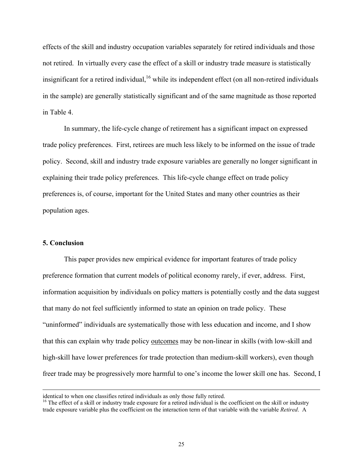effects of the skill and industry occupation variables separately for retired individuals and those not retired. In virtually every case the effect of a skill or industry trade measure is statistically insignificant for a retired individual,  $16$  while its independent effect (on all non-retired individuals in the sample) are generally statistically significant and of the same magnitude as those reported in Table 4.

In summary, the life-cycle change of retirement has a significant impact on expressed trade policy preferences. First, retirees are much less likely to be informed on the issue of trade policy. Second, skill and industry trade exposure variables are generally no longer significant in explaining their trade policy preferences. This life-cycle change effect on trade policy preferences is, of course, important for the United States and many other countries as their population ages.

#### **5. Conclusion**

 $\overline{\phantom{a}}$ 

 This paper provides new empirical evidence for important features of trade policy preference formation that current models of political economy rarely, if ever, address. First, information acquisition by individuals on policy matters is potentially costly and the data suggest that many do not feel sufficiently informed to state an opinion on trade policy. These "uninformed" individuals are systematically those with less education and income, and I show that this can explain why trade policy outcomes may be non-linear in skills (with low-skill and high-skill have lower preferences for trade protection than medium-skill workers), even though freer trade may be progressively more harmful to one's income the lower skill one has. Second, I

identical to when one classifies retired individuals as only those fully retired.

 $<sup>16</sup>$  The effect of a skill or industry trade exposure for a retired individual is the coefficient on the skill or industry</sup> trade exposure variable plus the coefficient on the interaction term of that variable with the variable *Retired*. A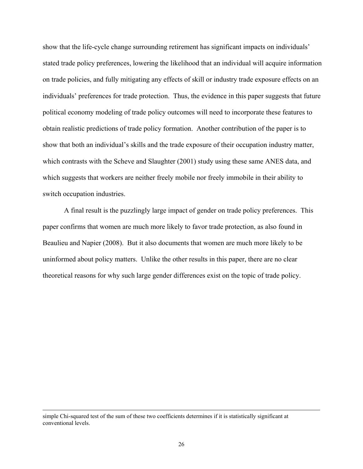show that the life-cycle change surrounding retirement has significant impacts on individuals' stated trade policy preferences, lowering the likelihood that an individual will acquire information on trade policies, and fully mitigating any effects of skill or industry trade exposure effects on an individuals' preferences for trade protection. Thus, the evidence in this paper suggests that future political economy modeling of trade policy outcomes will need to incorporate these features to obtain realistic predictions of trade policy formation. Another contribution of the paper is to show that both an individual's skills and the trade exposure of their occupation industry matter, which contrasts with the Scheve and Slaughter (2001) study using these same ANES data, and which suggests that workers are neither freely mobile nor freely immobile in their ability to switch occupation industries.

A final result is the puzzlingly large impact of gender on trade policy preferences. This paper confirms that women are much more likely to favor trade protection, as also found in Beaulieu and Napier (2008). But it also documents that women are much more likely to be uninformed about policy matters. Unlike the other results in this paper, there are no clear theoretical reasons for why such large gender differences exist on the topic of trade policy.

 $\overline{\phantom{a}}$ 

simple Chi-squared test of the sum of these two coefficients determines if it is statistically significant at conventional levels.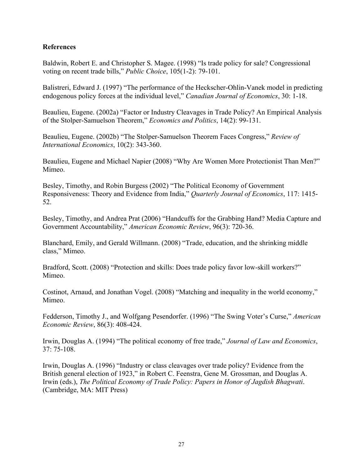# **References**

Baldwin, Robert E. and Christopher S. Magee. (1998) "Is trade policy for sale? Congressional voting on recent trade bills," *Public Choice*, 105(1-2): 79-101.

Balistreri, Edward J. (1997) "The performance of the Heckscher-Ohlin-Vanek model in predicting endogenous policy forces at the individual level," *Canadian Journal of Economics*, 30: 1-18.

Beaulieu, Eugene. (2002a) "Factor or Industry Cleavages in Trade Policy? An Empirical Analysis of the Stolper-Samuelson Theorem," *Economics and Politics*, 14(2): 99-131.

Beaulieu, Eugene. (2002b) "The Stolper-Samuelson Theorem Faces Congress," *Review of International Economics*, 10(2): 343-360.

Beaulieu, Eugene and Michael Napier (2008) "Why Are Women More Protectionist Than Men?" Mimeo.

Besley, Timothy, and Robin Burgess (2002) "The Political Economy of Government Responsiveness: Theory and Evidence from India," *Quarterly Journal of Economics*, 117: 1415- 52.

Besley, Timothy, and Andrea Prat (2006) "Handcuffs for the Grabbing Hand? Media Capture and Government Accountability," *American Economic Review*, 96(3): 720-36.

Blanchard, Emily, and Gerald Willmann. (2008) "Trade, education, and the shrinking middle class," Mimeo.

Bradford, Scott. (2008) "Protection and skills: Does trade policy favor low-skill workers?" Mimeo.

Costinot, Arnaud, and Jonathan Vogel. (2008) "Matching and inequality in the world economy," Mimeo.

Fedderson, Timothy J., and Wolfgang Pesendorfer. (1996) "The Swing Voter's Curse," *American Economic Review*, 86(3): 408-424.

Irwin, Douglas A. (1994) "The political economy of free trade," *Journal of Law and Economics*, 37: 75-108.

Irwin, Douglas A. (1996) "Industry or class cleavages over trade policy? Evidence from the British general election of 1923," in Robert C. Feenstra, Gene M. Grossman, and Douglas A. Irwin (eds.), *The Political Economy of Trade Policy: Papers in Honor of Jagdish Bhagwati*. (Cambridge, MA: MIT Press)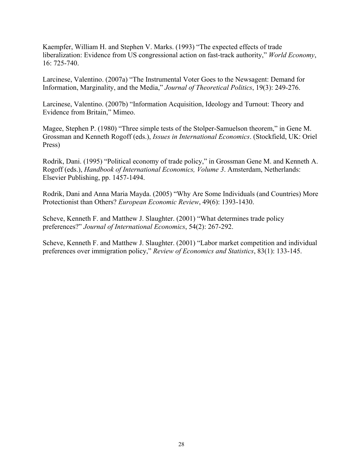Kaempfer, William H. and Stephen V. Marks. (1993) "The expected effects of trade liberalization: Evidence from US congressional action on fast-track authority," *World Economy*, 16: 725-740.

Larcinese, Valentino. (2007a) "The Instrumental Voter Goes to the Newsagent: Demand for Information, Marginality, and the Media," *Journal of Theoretical Politics*, 19(3): 249-276.

Larcinese, Valentino. (2007b) "Information Acquisition, Ideology and Turnout: Theory and Evidence from Britain," Mimeo.

Magee, Stephen P. (1980) "Three simple tests of the Stolper-Samuelson theorem," in Gene M. Grossman and Kenneth Rogoff (eds.), *Issues in International Economics*. (Stockfield, UK: Oriel Press)

Rodrik, Dani. (1995) "Political economy of trade policy," in Grossman Gene M. and Kenneth A. Rogoff (eds.), *Handbook of International Economics, Volume 3*. Amsterdam, Netherlands: Elsevier Publishing, pp. 1457-1494.

Rodrik, Dani and Anna Maria Mayda. (2005) "Why Are Some Individuals (and Countries) More Protectionist than Others? *European Economic Review*, 49(6): 1393-1430.

Scheve, Kenneth F. and Matthew J. Slaughter. (2001) "What determines trade policy preferences?" *Journal of International Economics*, 54(2): 267-292.

Scheve, Kenneth F. and Matthew J. Slaughter. (2001) "Labor market competition and individual preferences over immigration policy," *Review of Economics and Statistics*, 83(1): 133-145.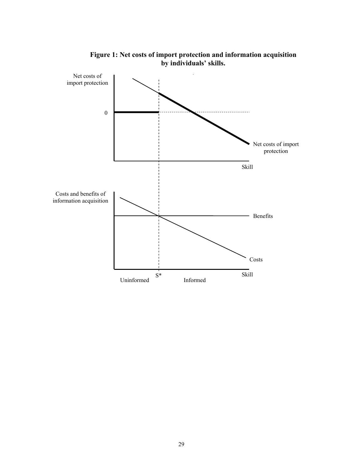

**Figure 1: Net costs of import protection and information acquisition by individuals' skills.**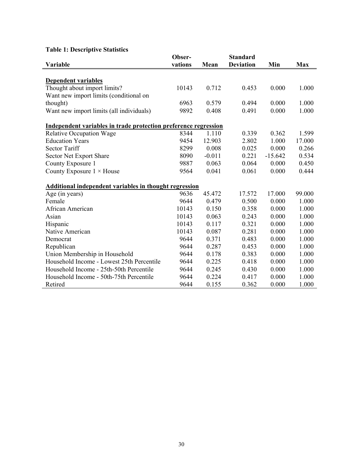# **Table 1: Descriptive Statistics**

|                                                                 | Obser-  |          | <b>Standard</b>  |           |        |
|-----------------------------------------------------------------|---------|----------|------------------|-----------|--------|
| Variable                                                        | vations | Mean     | <b>Deviation</b> | Min       | Max    |
|                                                                 |         |          |                  |           |        |
| <b>Dependent variables</b>                                      |         |          |                  |           |        |
| Thought about import limits?                                    | 10143   | 0.712    | 0.453            | 0.000     | 1.000  |
| Want new import limits (conditional on                          |         |          |                  |           |        |
| thought)                                                        | 6963    | 0.579    | 0.494            | 0.000     | 1.000  |
| Want new import limits (all individuals)                        | 9892    | 0.408    | 0.491            | 0.000     | 1.000  |
| Independent variables in trade protection preference regression |         |          |                  |           |        |
| <b>Relative Occupation Wage</b>                                 | 8344    | 1.110    | 0.339            | 0.362     | 1.599  |
| <b>Education Years</b>                                          | 9454    | 12.903   | 2.802            | 1.000     | 17.000 |
| <b>Sector Tariff</b>                                            | 8299    | 0.008    | 0.025            | 0.000     | 0.266  |
| Sector Net Export Share                                         | 8090    | $-0.011$ | 0.221            | $-15.642$ | 0.534  |
| County Exposure 1                                               | 9887    | 0.063    | 0.064            | 0.000     | 0.450  |
| County Exposure $1 \times$ House                                | 9564    | 0.041    | 0.061            | 0.000     | 0.444  |
| Additional independent variables in thought regression          |         |          |                  |           |        |
| Age (in years)                                                  | 9636    | 45.472   | 17.572           | 17.000    | 99.000 |
| Female                                                          | 9644    | 0.479    | 0.500            | 0.000     | 1.000  |
| African American                                                | 10143   | 0.150    | 0.358            | 0.000     | 1.000  |
| Asian                                                           | 10143   | 0.063    | 0.243            | 0.000     | 1.000  |
| Hispanic                                                        | 10143   | 0.117    | 0.321            | 0.000     | 1.000  |
| Native American                                                 | 10143   | 0.087    | 0.281            | 0.000     | 1.000  |
| Democrat                                                        | 9644    | 0.371    | 0.483            | 0.000     | 1.000  |
| Republican                                                      | 9644    | 0.287    | 0.453            | 0.000     | 1.000  |
| Union Membership in Household                                   | 9644    | 0.178    | 0.383            | 0.000     | 1.000  |
| Household Income - Lowest 25th Percentile                       | 9644    | 0.225    | 0.418            | 0.000     | 1.000  |
| Household Income - 25th-50th Percentile                         | 9644    | 0.245    | 0.430            | 0.000     | 1.000  |
| Household Income - 50th-75th Percentile                         | 9644    | 0.224    | 0.417            | 0.000     | 1.000  |
| Retired                                                         | 9644    | 0.155    | 0.362            | 0.000     | 1.000  |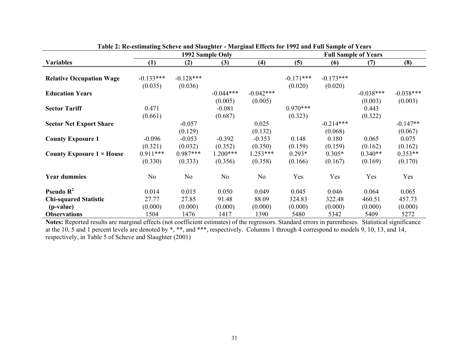|                                  | 1992 Sample Only |             |                | Table 2. Ke-estimating beneve and biaughter - Marginal Eneces for 1992 and Pun bample of Tears<br><b>Full Sample of Years</b> |             |             |             |             |
|----------------------------------|------------------|-------------|----------------|-------------------------------------------------------------------------------------------------------------------------------|-------------|-------------|-------------|-------------|
| <b>Variables</b>                 | (1)              | (2)         | (3)            | (4)                                                                                                                           | (5)         | (6)         | (7)         | (8)         |
|                                  |                  |             |                |                                                                                                                               |             |             |             |             |
| <b>Relative Occupation Wage</b>  | $-0.133***$      | $-0.128***$ |                |                                                                                                                               | $-0.171***$ | $-0.173***$ |             |             |
|                                  | (0.035)          | (0.036)     |                |                                                                                                                               | (0.020)     | (0.020)     |             |             |
| <b>Education Years</b>           |                  |             | $-0.044***$    | $-0.042***$                                                                                                                   |             |             | $-0.038***$ | $-0.038***$ |
|                                  |                  |             | (0.005)        | (0.005)                                                                                                                       |             |             | (0.003)     | (0.003)     |
| <b>Sector Tariff</b>             | 0.471            |             | $-0.081$       |                                                                                                                               | $0.970***$  |             | 0.443       |             |
|                                  | (0.661)          |             | (0.687)        |                                                                                                                               | (0.323)     |             | (0.322)     |             |
| <b>Sector Net Export Share</b>   |                  | $-0.057$    |                | 0.025                                                                                                                         |             | $-0.214***$ |             | $-0.147**$  |
|                                  |                  | (0.129)     |                | (0.132)                                                                                                                       |             | (0.068)     |             | (0.067)     |
| <b>County Exposure 1</b>         | $-0.096$         | $-0.053$    | $-0.392$       | $-0.353$                                                                                                                      | 0.148       | 0.180       | 0.065       | 0.075       |
|                                  | (0.321)          | (0.032)     | (0.352)        | (0.350)                                                                                                                       | (0.159)     | (0.159)     | (0.162)     | (0.162)     |
| County Exposure $1 \times$ House | $0.911***$       | $0.987***$  | $1.200***$     | $1.253***$                                                                                                                    | $0.293*$    | $0.305*$    | $0.340**$   | $0.353**$   |
|                                  | (0.330)          | (0.333)     | (0.356)        | (0.358)                                                                                                                       | (0.166)     | (0.167)     | (0.169)     | (0.170)     |
| <b>Year dummies</b>              | N <sub>0</sub>   | No          | N <sub>o</sub> | No                                                                                                                            | Yes         | Yes         | Yes         | Yes         |
| Pseudo $R^2$                     | 0.014            | 0.015       | 0.050          | 0.049                                                                                                                         | 0.045       | 0.046       | 0.064       | 0.065       |
| <b>Chi-squared Statistic</b>     | 27.77            | 27.85       | 91.48          | 88.09                                                                                                                         | 324.83      | 322.48      | 460.51      | 457.73      |
| (p-value)                        | (0.000)          | (0.000)     | (0.000)        | (0.000)                                                                                                                       | (0.000)     | (0.000)     | (0.000)     | (0.000)     |
| <b>Observations</b>              | 1504             | 1476        | 1417           | 1390                                                                                                                          | 5480        | 5342        | 5409        | 5272        |

## **Table 2: Re-estimating Scheve and Slaughter - Marginal Effects for 1992 and Full Sample of Years**

**Notes:** Reported results are marginal effects (not coefficient estimates) of the regressors. Standard errors in parentheses. Statistical significance at the 10, 5 and 1 percent levels are denoted by \*, \*\*, and \*\*\*, respectively. Columns 1 through 4 correspond to models 9, 10, 13, and 14, respectively, in Table 5 of Scheve and Slaughter (2001)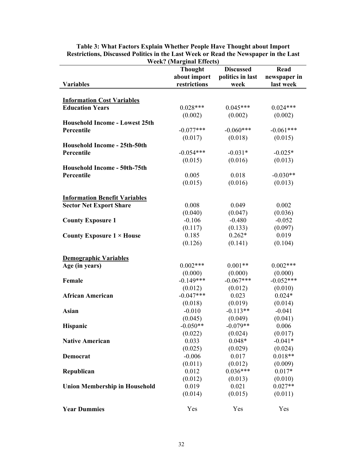|                                                             | Week? (Marginal Effects) |                     |                      |
|-------------------------------------------------------------|--------------------------|---------------------|----------------------|
|                                                             | <b>Thought</b>           | <b>Discussed</b>    | Read                 |
|                                                             | about import             | politics in last    | newspaper in         |
| <b>Variables</b>                                            | restrictions             | week                | last week            |
|                                                             |                          |                     |                      |
| <b>Information Cost Variables</b><br><b>Education Years</b> | $0.028***$               | $0.045***$          | $0.024***$           |
|                                                             |                          |                     |                      |
|                                                             | (0.002)                  | (0.002)             | (0.002)              |
| <b>Household Income - Lowest 25th</b>                       |                          |                     |                      |
| Percentile                                                  | $-0.077***$              | $-0.060***$         | $-0.061***$          |
|                                                             | (0.017)                  | (0.018)             | (0.015)              |
| Household Income - 25th-50th                                |                          |                     |                      |
| Percentile                                                  | $-0.054***$              | $-0.031*$           | $-0.025*$            |
|                                                             | (0.015)                  | (0.016)             | (0.013)              |
| Household Income - 50th-75th                                |                          |                     |                      |
| Percentile                                                  | 0.005                    | 0.018               | $-0.030**$           |
|                                                             | (0.015)                  | (0.016)             | (0.013)              |
|                                                             |                          |                     |                      |
| <b>Information Benefit Variables</b>                        |                          |                     |                      |
| <b>Sector Net Export Share</b>                              | 0.008                    | 0.049               | 0.002                |
|                                                             | (0.040)                  | (0.047)             | (0.036)              |
| <b>County Exposure 1</b>                                    | $-0.106$                 | $-0.480$            | $-0.052$             |
|                                                             | (0.117)                  | (0.133)             | (0.097)              |
| County Exposure $1 \times$ House                            | 0.185                    | $0.262*$            | 0.019                |
|                                                             | (0.126)                  | (0.141)             | (0.104)              |
|                                                             |                          |                     |                      |
| <b>Demographic Variables</b>                                |                          |                     |                      |
| Age (in years)                                              | $0.002***$               | $0.001**$           | $0.002***$           |
|                                                             | (0.000)                  | (0.000)             | (0.000)              |
| Female                                                      | $-0.149***$              | $-0.067***$         | $-0.052***$          |
|                                                             | (0.012)                  | (0.012)             | (0.010)              |
| <b>African American</b>                                     | $-0.047***$              | 0.023               | $0.024*$             |
|                                                             | (0.018)                  | (0.019)             | (0.014)              |
| <b>Asian</b>                                                | $-0.010$                 | $-0.113**$          | $-0.041$             |
|                                                             | (0.045)                  | (0.049)             | (0.041)              |
|                                                             | $-0.050**$               | $-0.079**$          | 0.006                |
| <b>Hispanic</b>                                             |                          |                     |                      |
|                                                             | (0.022)                  | (0.024)<br>$0.048*$ | (0.017)<br>$-0.041*$ |
| <b>Native American</b>                                      | 0.033                    |                     |                      |
|                                                             | (0.025)                  | (0.029)             | (0.024)              |
| Democrat                                                    | $-0.006$                 | 0.017               | $0.018**$            |
|                                                             | (0.011)                  | (0.012)             | (0.009)              |
| Republican                                                  | 0.012                    | $0.036***$          | $0.017*$             |
|                                                             | (0.012)                  | (0.013)             | (0.010)              |
| <b>Union Membership in Household</b>                        | 0.019                    | 0.021               | $0.027**$            |
|                                                             | (0.014)                  | (0.015)             | (0.011)              |
|                                                             |                          |                     |                      |
| <b>Year Dummies</b>                                         | Yes                      | Yes                 | Yes                  |

**Table 3: What Factors Explain Whether People Have Thought about Import Restrictions, Discussed Politics in the Last Week or Read the Newspaper in the Last Week? (Marginal Effects)**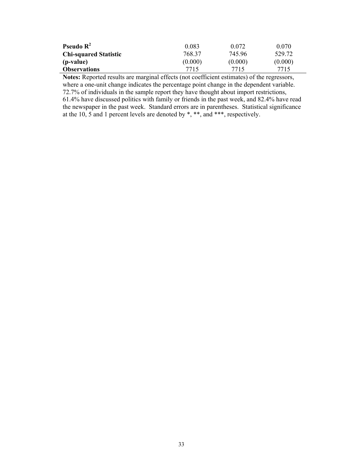| <b>Pseudo</b> $\mathbb{R}^2$ | 0.083   | 0.072   | 0.070   |
|------------------------------|---------|---------|---------|
| <b>Chi-squared Statistic</b> | 768.37  | 745.96  | 529.72  |
| (p-value)                    | (0.000) | (0.000) | (0.000) |
| <b>Observations</b>          | 7715    | 7715    | 7715    |

**Notes:** Reported results are marginal effects (not coefficient estimates) of the regressors, where a one-unit change indicates the percentage point change in the dependent variable. 72.7% of individuals in the sample report they have thought about import restrictions,

61.4% have discussed politics with family or friends in the past week, and 82.4% have read the newspaper in the past week. Standard errors are in parentheses. Statistical significance at the 10,  $5$  and 1 percent levels are denoted by \*, \*\*, and \*\*\*, respectively.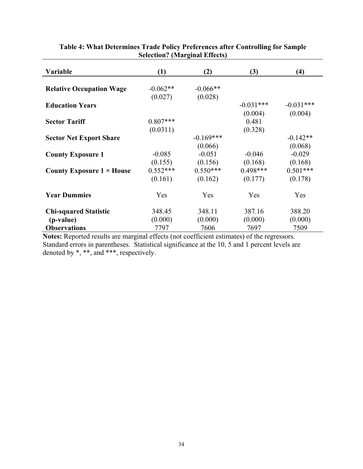| Variable                         | (1)        | (2)         | (3)         | (4)         |
|----------------------------------|------------|-------------|-------------|-------------|
|                                  |            |             |             |             |
| <b>Relative Occupation Wage</b>  | $-0.062**$ | $-0.066**$  |             |             |
|                                  | (0.027)    | (0.028)     |             |             |
| <b>Education Years</b>           |            |             | $-0.031***$ | $-0.031***$ |
|                                  |            |             | (0.004)     | (0.004)     |
| <b>Sector Tariff</b>             | $0.807***$ |             | 0.481       |             |
|                                  | (0.0311)   |             | (0.328)     |             |
| <b>Sector Net Export Share</b>   |            | $-0.169***$ |             | $-0.142**$  |
|                                  |            | (0.066)     |             | (0.068)     |
| <b>County Exposure 1</b>         | $-0.085$   | $-0.051$    | $-0.046$    | $-0.029$    |
|                                  | (0.155)    | (0.156)     | (0.168)     | (0.168)     |
| County Exposure $1 \times$ House | $0.552***$ | $0.550***$  | $0.498***$  | $0.501***$  |
|                                  | (0.161)    | (0.162)     | (0.177)     | (0.178)     |
| <b>Year Dummies</b>              | Yes        | Yes         | Yes         | Yes         |
| <b>Chi-squared Statistic</b>     | 348.45     | 348.11      | 387.16      | 388.20      |
| (p-value)                        | (0.000)    | (0.000)     | (0.000)     | (0.000)     |
| <b>Observations</b>              | 7797       | 7606        | 7697        | 7509        |

# **Table 4: What Determines Trade Policy Preferences after Controlling for Sample Selection? (Marginal Effects)**

**Notes:** Reported results are marginal effects (not coefficient estimates) of the regressors. Standard errors in parentheses. Statistical significance at the 10, 5 and 1 percent levels are denoted by \*, \*\*, and \*\*\*, respectively.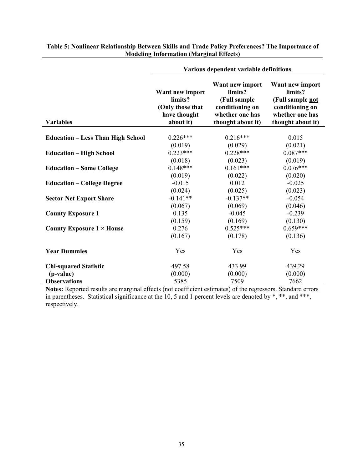|                                          | Various dependent variable definitions                                      |                                                                                                       |                                                                                                           |  |
|------------------------------------------|-----------------------------------------------------------------------------|-------------------------------------------------------------------------------------------------------|-----------------------------------------------------------------------------------------------------------|--|
| <b>Variables</b>                         | Want new import<br>limits?<br>(Only those that<br>have thought<br>about it) | Want new import<br>limits?<br>(Full sample<br>conditioning on<br>whether one has<br>thought about it) | Want new import<br>limits?<br>(Full sample not<br>conditioning on<br>whether one has<br>thought about it) |  |
|                                          |                                                                             |                                                                                                       |                                                                                                           |  |
| <b>Education – Less Than High School</b> | $0.226***$                                                                  | $0.216***$                                                                                            | 0.015                                                                                                     |  |
|                                          | (0.019)                                                                     | (0.029)                                                                                               | (0.021)                                                                                                   |  |
| <b>Education - High School</b>           | $0.223***$                                                                  | $0.228***$                                                                                            | $0.087***$                                                                                                |  |
|                                          | (0.018)                                                                     | (0.023)                                                                                               | (0.019)                                                                                                   |  |
| <b>Education - Some College</b>          | $0.148***$                                                                  | $0.161***$                                                                                            | $0.076***$                                                                                                |  |
|                                          | (0.019)                                                                     | (0.022)                                                                                               | (0.020)                                                                                                   |  |
| <b>Education – College Degree</b>        | $-0.015$                                                                    | 0.012                                                                                                 | $-0.025$                                                                                                  |  |
|                                          | (0.024)                                                                     | (0.025)                                                                                               | (0.023)                                                                                                   |  |
| <b>Sector Net Export Share</b>           | $-0.141**$                                                                  | $-0.137**$                                                                                            | $-0.054$                                                                                                  |  |
|                                          | (0.067)                                                                     | (0.069)                                                                                               | (0.046)                                                                                                   |  |
| <b>County Exposure 1</b>                 | 0.135                                                                       | $-0.045$                                                                                              | $-0.239$                                                                                                  |  |
|                                          | (0.159)                                                                     | (0.169)                                                                                               | (0.130)                                                                                                   |  |
| County Exposure $1 \times$ House         | 0.276                                                                       | $0.525***$                                                                                            | $0.659***$                                                                                                |  |
|                                          | (0.167)                                                                     | (0.178)                                                                                               | (0.136)                                                                                                   |  |
| <b>Year Dummies</b>                      | Yes                                                                         | Yes                                                                                                   | Yes                                                                                                       |  |
| <b>Chi-squared Statistic</b>             | 497.58                                                                      | 433.99                                                                                                | 439.29                                                                                                    |  |
| (p-value)                                | (0.000)                                                                     | (0.000)                                                                                               | (0.000)                                                                                                   |  |
| <b>Observations</b>                      | 5385                                                                        | 7509                                                                                                  | 7662                                                                                                      |  |

#### **Table 5: Nonlinear Relationship Between Skills and Trade Policy Preferences? The Importance of Modeling Information (Marginal Effects)**

**Notes:** Reported results are marginal effects (not coefficient estimates) of the regressors. Standard errors in parentheses. Statistical significance at the 10, 5 and 1 percent levels are denoted by \*, \*\*, and \*\*\*, respectively.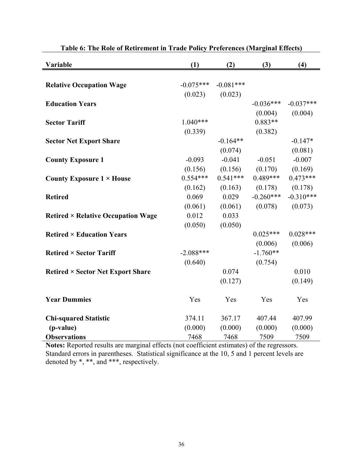| Variable                                  | (1)         | (2)         | (3)         | (4)         |
|-------------------------------------------|-------------|-------------|-------------|-------------|
|                                           |             |             |             |             |
| <b>Relative Occupation Wage</b>           | $-0.075***$ | $-0.081***$ |             |             |
|                                           | (0.023)     | (0.023)     |             |             |
| <b>Education Years</b>                    |             |             | $-0.036***$ | $-0.037***$ |
|                                           |             |             | (0.004)     | (0.004)     |
| <b>Sector Tariff</b>                      | $1.040***$  |             | $0.883**$   |             |
|                                           | (0.339)     |             | (0.382)     |             |
| <b>Sector Net Export Share</b>            |             | $-0.164**$  |             | $-0.147*$   |
|                                           |             | (0.074)     |             | (0.081)     |
| <b>County Exposure 1</b>                  | $-0.093$    | $-0.041$    | $-0.051$    | $-0.007$    |
|                                           | (0.156)     | (0.156)     | (0.170)     | (0.169)     |
| County Exposure $1 \times$ House          | $0.554***$  | $0.541***$  | $0.489***$  | $0.473***$  |
|                                           | (0.162)     | (0.163)     | (0.178)     | (0.178)     |
| <b>Retired</b>                            | 0.069       | 0.029       | $-0.260***$ | $-0.310***$ |
|                                           | (0.061)     | (0.061)     | (0.078)     | (0.073)     |
| <b>Retired × Relative Occupation Wage</b> | 0.012       | 0.033       |             |             |
|                                           | (0.050)     | (0.050)     |             |             |
| <b>Retired × Education Years</b>          |             |             | $0.025***$  | $0.028***$  |
|                                           |             |             | (0.006)     | (0.006)     |
| <b>Retired × Sector Tariff</b>            | $-2.088***$ |             | $-1.760**$  |             |
|                                           | (0.640)     |             | (0.754)     |             |
| <b>Retired × Sector Net Export Share</b>  |             | 0.074       |             | 0.010       |
|                                           |             | (0.127)     |             | (0.149)     |
| <b>Year Dummies</b>                       | Yes         | Yes         | Yes         | Yes         |
| <b>Chi-squared Statistic</b>              | 374.11      | 367.17      | 407.44      | 407.99      |
| (p-value)                                 | (0.000)     | (0.000)     | (0.000)     | (0.000)     |
| <b>Observations</b>                       | 7468        | 7468        | 7509        | 7509        |

**Table 6: The Role of Retirement in Trade Policy Preferences (Marginal Effects)** 

**Notes:** Reported results are marginal effects (not coefficient estimates) of the regressors. Standard errors in parentheses. Statistical significance at the 10, 5 and 1 percent levels are denoted by \*, \*\*, and \*\*\*, respectively.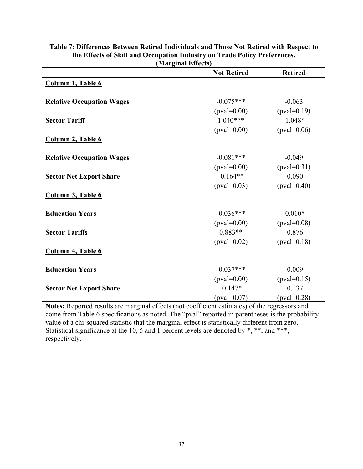|                                  | the current concept<br><b>Not Retired</b> | <b>Retired</b> |
|----------------------------------|-------------------------------------------|----------------|
| Column 1, Table 6                |                                           |                |
|                                  |                                           |                |
| <b>Relative Occupation Wages</b> | $-0.075***$                               | $-0.063$       |
|                                  | $(pval=0.00)$                             | $(pval=0.19)$  |
| <b>Sector Tariff</b>             | $1.040***$                                | $-1.048*$      |
|                                  | $(pval=0.00)$                             | $(pval=0.06)$  |
| Column 2, Table 6                |                                           |                |
| <b>Relative Occupation Wages</b> | $-0.081***$                               | $-0.049$       |
|                                  | $(pval=0.00)$                             | $(pval=0.31)$  |
| <b>Sector Net Export Share</b>   | $-0.164**$                                | $-0.090$       |
|                                  | $(pval=0.03)$                             | $(pval=0.40)$  |
| Column 3, Table 6                |                                           |                |
| <b>Education Years</b>           | $-0.036***$                               | $-0.010*$      |
|                                  | $(pval=0.00)$                             | $(pval=0.08)$  |
| <b>Sector Tariffs</b>            | $0.883**$                                 | $-0.876$       |
|                                  | $(pval=0.02)$                             | $(pval=0.18)$  |
| Column 4, Table 6                |                                           |                |
| <b>Education Years</b>           | $-0.037***$                               | $-0.009$       |
|                                  | $(pval=0.00)$                             | $(pval=0.15)$  |
| <b>Sector Net Export Share</b>   | $-0.147*$                                 | $-0.137$       |
|                                  | $(pval=0.07)$                             | $(pval=0.28)$  |

#### **Table 7: Differences Between Retired Individuals and Those Not Retired with Respect to the Effects of Skill and Occupation Industry on Trade Policy Preferences. (Marginal Effects)**

**Notes:** Reported results are marginal effects (not coefficient estimates) of the regressors and come from Table 6 specifications as noted. The "pval" reported in parentheses is the probability value of a chi-squared statistic that the marginal effect is statistically different from zero. Statistical significance at the 10, 5 and 1 percent levels are denoted by  $\ast$ ,  $\ast\ast$ , and  $\ast\ast\ast$ , respectively.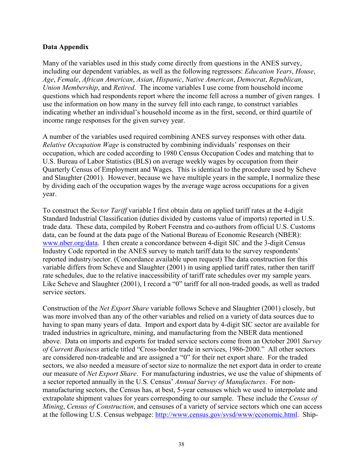# **Data Appendix**

Many of the variables used in this study come directly from questions in the ANES survey, including our dependent variables, as well as the following regressors: *Education Years*, *House*, *Age*, *Female*, *African American*, *Asian*, *Hispanic*, *Native American*, *Democrat*, *Republican*, *Union Membership*, and *Retired*. The income variables I use come from household income questions which had respondents report where the income fell across a number of given ranges. I use the information on how many in the survey fell into each range, to construct variables indicating whether an individual's household income as in the first, second, or third quartile of income range responses for the given survey year.

A number of the variables used required combining ANES survey responses with other data. *Relative Occupation Wage* is constructed by combining individuals' responses on their occupation, which are coded according to 1980 Census Occupation Codes and matching that to U.S. Bureau of Labor Statistics (BLS) on average weekly wages by occupation from their Quarterly Census of Employment and Wages. This is identical to the procedure used by Scheve and Slaughter (2001). However, because we have multiple years in the sample, I normalize these by dividing each of the occupation wages by the average wage across occupations for a given year.

To construct the *Sector Tariff* variable I first obtain data on applied tariff rates at the 4-digit Standard Industrial Classification (duties divided by customs value of imports) reported in U.S. trade data. These data, compiled by Robert Feenstra and co-authors from official U.S. Customs data, can be found at the data page of the National Bureau of Economic Research (NBER): www.nber.org/data. I then create a concordance between 4-digit SIC and the 3-digit Census Industry Code reported in the ANES survey to match tariff data to the survey respondents' reported industry/sector. (Concordance available upon request) The data construction for this variable differs from Scheve and Slaughter (2001) in using applied tariff rates, rather then tariff rate schedules, due to the relative inaccessibility of tariff rate schedules over my sample years. Like Scheve and Slaughter (2001), I record a "0" tariff for all non-traded goods, as well as traded service sectors.

Construction of the *Net Export Share* variable follows Scheve and Slaughter (2001) closely, but was more involved than any of the other variables and relied on a variety of data sources due to having to span many years of data. Import and export data by 4-digit SIC sector are available for traded industries in agriculture, mining, and manufacturing from the NBER data mentioned above. Data on imports and exports for traded service sectors come from an October 2001 *Survey of Current Business* article titled "Cross-border trade in services, 1986-2000." All other sectors are considered non-tradeable and are assigned a "0" for their net export share. For the traded sectors, we also needed a measure of sector size to normalize the net export data in order to create our measure of *Net Export Share*. For manufacturing industries, we use the value of shipments of a sector reported annually in the U.S. Census' *Annual Survey of Manufactures*. For nonmanufacturing sectors, the Census has, at best, 5-year censuses which we used to interpolate and extrapolate shipment values for years corresponding to our sample. These include the *Census of Mining*, *Census of Construction*, and censuses of a variety of service sectors which one can access at the following U.S. Census webpage: http://www.census.gov/svsd/www/economic.html. Ship